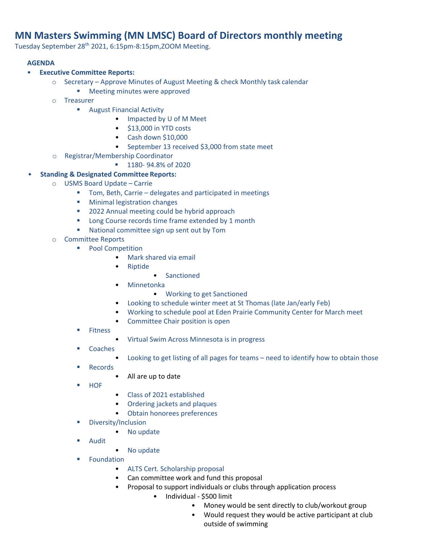## **MN Masters Swimming (MN LMSC) Board of Directors monthly meeting**

Tuesday September 28th 2021, 6:15pm-8:15pm,ZOOM Meeting.

## **AGENDA**

- **Executive Committee Reports:**
	- o Secretary Approve Minutes of August Meeting & check Monthly task calendar
		- **Meeting minutes were approved**
	- o Treasurer
		- **August Financial Activity** 
			- Impacted by U of M Meet
			- \$13,000 in YTD costs
			- Cash down \$10,000
			- September 13 received \$3,000 from state meet
	- o Registrar/Membership Coordinator
		- **1180- 94.8% of 2020**
- **Standing & Designated Committee Reports:**
	- o USMS Board Update Carrie
		- Tom, Beth, Carrie delegates and participated in meetings
		- **Minimal legistration changes**
		- 2022 Annual meeting could be hybrid approach
		- **Long Course records time frame extended by 1 month**
		- **National committee sign up sent out by Tom**
	- o Committee Reports
		- **Pool Competition** 
			- Mark shared via email
			- Riptide
				- Sanctioned
			- Minnetonka
				- Working to get Sanctioned
			- Looking to schedule winter meet at St Thomas (late Jan/early Feb)
			- Working to schedule pool at Eden Prairie Community Center for March meet
			- Committee Chair position is open
		- **Fitness**
- Virtual Swim Across Minnesota is in progress
- Coaches
	- Looking to get listing of all pages for teams need to identify how to obtain those
- Records
	- All are up to date
- **HOF**
- Class of 2021 established
- Ordering jackets and plaques
- Obtain honorees preferences
- Diversity/Inclusion
	- No update
- Audit
- No update
- **Foundation** 
	- ALTS Cert. Scholarship proposal
	- Can committee work and fund this proposal
	- Proposal to support individuals or clubs through application process
		- Individual \$500 limit
			- Money would be sent directly to club/workout group
			- Would request they would be active participant at club outside of swimming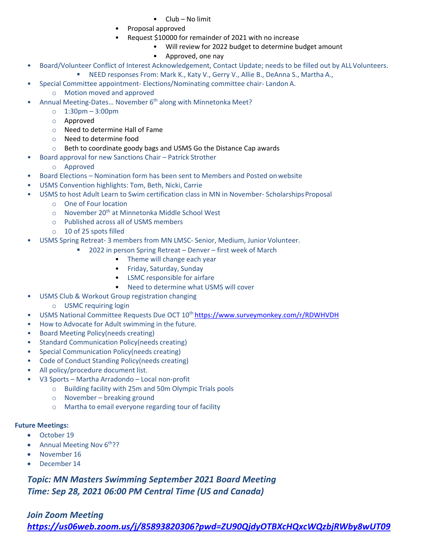- Club No limit
- Proposal approved
- Request \$10000 for remainder of 2021 with no increase
	- Will review for 2022 budget to determine budget amount
	- Approved, one nay
- Board/Volunteer Conflict of Interest Acknowledgement, Contact Update; needs to be filled out by ALL Volunteers.
	- **NEED responses From: Mark K., Katy V., Gerry V., Allie B., DeAnna S., Martha A.,**
- Special Committee appointment- Elections/Nominating committee chair- Landon A.
	- o Motion moved and approved
- Annual Meeting-Dates... November 6<sup>th</sup> along with Minnetonka Meet?
	- o 1:30pm 3:00pm
	- o Approved
	- o Need to determine Hall of Fame
	- o Need to determine food
	- o Beth to coordinate goody bags and USMS Go the Distance Cap awards
- Board approval for new Sanctions Chair Patrick Strother
	- o Approved
- Board Elections Nomination form has been sent to Members and Posted on website
- USMS Convention highlights: Tom, Beth, Nicki, Carrie
- USMS to host Adult Learn to Swim certification class in MN in November- Scholarships Proposal
	- o One of Four location
	- $\circ$  November 20<sup>th</sup> at Minnetonka Middle School West
	- o Published across all of USMS members
	- o 10 of 25 spots filled
- USMS Spring Retreat- 3 members from MN LMSC- Senior, Medium, Junior Volunteer.
	- 2022 in person Spring Retreat Denver first week of March
		- Theme will change each year
		- Friday, Saturday, Sunday
		- LSMC responsible for airfare
		- Need to determine what USMS will cover
- USMS Club & Workout Group registration changing
	- o USMC requiring login
- USMS National Committee Requests Due OCT 10<sup>th</sup> https://www.surveymonkey.com/r/RDWHVDH
- How to Advocate for Adult swimming in the future.
- Board Meeting Policy(needs creating)
- Standard Communication Policy(needs creating)
- Special Communication Policy(needs creating)
- Code of Conduct Standing Policy(needs creating)
- All policy/procedure document list.
- V3 Sports Martha Arradondo Local non-profit
	- o Building facility with 25m and 50m Olympic Trials pools
	- o November breaking ground
	- o Martha to email everyone regarding tour of facility

## **Future Meetings:**

- October 19
- Annual Meeting Nov  $6<sup>th</sup>$ ?
- November 16
- December 14

*Topic: MN Masters Swimming September 2021 Board Meeting Time: Sep 28, 2021 06:00 PM Central Time (US and Canada)*

## *Join Zoom Meeting*

*https://us06web.zoom.us/j/85893820306?pwd=ZU90QjdyOTBXcHQxcWQzbjRWby8wUT09*